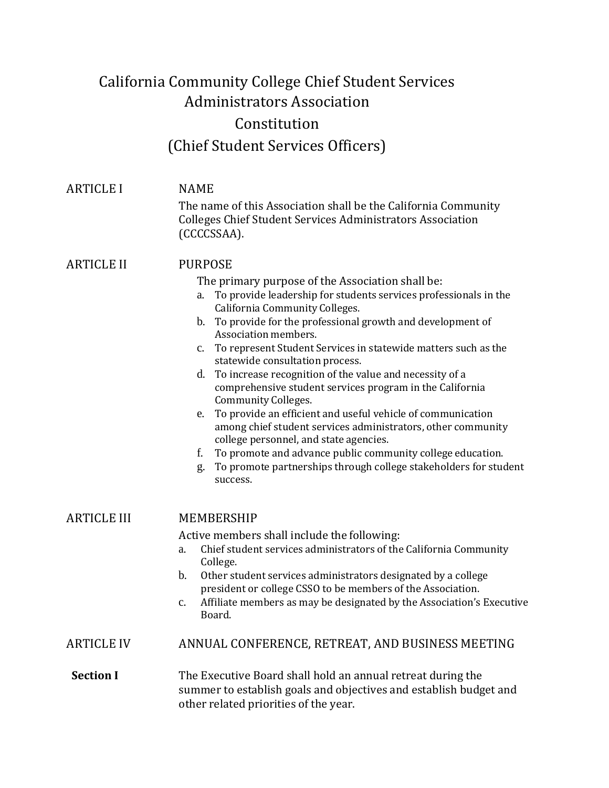## California Community College Chief Student Services Administrators Association Constitution (Chief Student Services Officers)

| <b>ARTICLE I</b>   | <b>NAME</b>                                                                                                                                                                                                                                                                                                                                                                                                                                                                                                                                                                                                                                                                                                                                                                                                                                                                                |  |  |
|--------------------|--------------------------------------------------------------------------------------------------------------------------------------------------------------------------------------------------------------------------------------------------------------------------------------------------------------------------------------------------------------------------------------------------------------------------------------------------------------------------------------------------------------------------------------------------------------------------------------------------------------------------------------------------------------------------------------------------------------------------------------------------------------------------------------------------------------------------------------------------------------------------------------------|--|--|
|                    | The name of this Association shall be the California Community<br><b>Colleges Chief Student Services Administrators Association</b><br>(CCCCSSAA).                                                                                                                                                                                                                                                                                                                                                                                                                                                                                                                                                                                                                                                                                                                                         |  |  |
| <b>ARTICLE II</b>  | <b>PURPOSE</b><br>The primary purpose of the Association shall be:<br>To provide leadership for students services professionals in the<br>a.<br>California Community Colleges.<br>b. To provide for the professional growth and development of<br>Association members.<br>To represent Student Services in statewide matters such as the<br>$\mathbf{c}$ .<br>statewide consultation process.<br>To increase recognition of the value and necessity of a<br>d.<br>comprehensive student services program in the California<br>Community Colleges.<br>To provide an efficient and useful vehicle of communication<br>e.<br>among chief student services administrators, other community<br>college personnel, and state agencies.<br>To promote and advance public community college education.<br>f.<br>To promote partnerships through college stakeholders for student<br>g.<br>success. |  |  |
| <b>ARTICLE III</b> | MEMBERSHIP<br>Active members shall include the following:<br>Chief student services administrators of the California Community<br>a.<br>College.<br>b.<br>Other student services administrators designated by a college<br>president or college CSSO to be members of the Association.<br>Affiliate members as may be designated by the Association's Executive<br>c.<br>Board.                                                                                                                                                                                                                                                                                                                                                                                                                                                                                                            |  |  |
| <b>ARTICLE IV</b>  | ANNUAL CONFERENCE, RETREAT, AND BUSINESS MEETING                                                                                                                                                                                                                                                                                                                                                                                                                                                                                                                                                                                                                                                                                                                                                                                                                                           |  |  |
| <b>Section I</b>   | The Executive Board shall hold an annual retreat during the<br>summer to establish goals and objectives and establish budget and<br>other related priorities of the year.                                                                                                                                                                                                                                                                                                                                                                                                                                                                                                                                                                                                                                                                                                                  |  |  |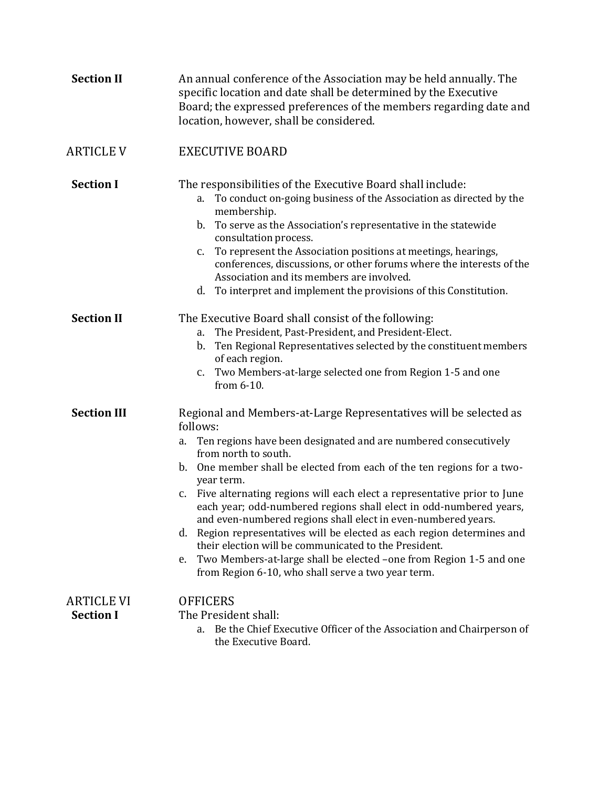| <b>Section II</b>                     | An annual conference of the Association may be held annually. The<br>specific location and date shall be determined by the Executive<br>Board; the expressed preferences of the members regarding date and<br>location, however, shall be considered.                                                                                                                                                                                                                                                                                                                                                                                                                                                                                                                               |  |
|---------------------------------------|-------------------------------------------------------------------------------------------------------------------------------------------------------------------------------------------------------------------------------------------------------------------------------------------------------------------------------------------------------------------------------------------------------------------------------------------------------------------------------------------------------------------------------------------------------------------------------------------------------------------------------------------------------------------------------------------------------------------------------------------------------------------------------------|--|
| <b>ARTICLE V</b>                      | <b>EXECUTIVE BOARD</b>                                                                                                                                                                                                                                                                                                                                                                                                                                                                                                                                                                                                                                                                                                                                                              |  |
| <b>Section I</b>                      | The responsibilities of the Executive Board shall include:<br>To conduct on-going business of the Association as directed by the<br>a.<br>membership.<br>b. To serve as the Association's representative in the statewide<br>consultation process.<br>To represent the Association positions at meetings, hearings,<br>$\mathbf{c}$ .<br>conferences, discussions, or other forums where the interests of the<br>Association and its members are involved.<br>d. To interpret and implement the provisions of this Constitution.                                                                                                                                                                                                                                                    |  |
| <b>Section II</b>                     | The Executive Board shall consist of the following:<br>The President, Past-President, and President-Elect.<br>a.<br>Ten Regional Representatives selected by the constituent members<br>$\mathbf{b}$ .<br>of each region.<br>Two Members-at-large selected one from Region 1-5 and one<br>c.<br>from $6-10$ .                                                                                                                                                                                                                                                                                                                                                                                                                                                                       |  |
| <b>Section III</b>                    | Regional and Members-at-Large Representatives will be selected as<br>follows:<br>Ten regions have been designated and are numbered consecutively<br>a.<br>from north to south.<br>One member shall be elected from each of the ten regions for a two-<br>$\mathbf{b}$ .<br>year term.<br>c. Five alternating regions will each elect a representative prior to June<br>each year; odd-numbered regions shall elect in odd-numbered years,<br>and even-numbered regions shall elect in even-numbered years.<br>Region representatives will be elected as each region determines and<br>d.<br>their election will be communicated to the President.<br>Two Members-at-large shall be elected -one from Region 1-5 and one<br>e.<br>from Region 6-10, who shall serve a two year term. |  |
| <b>ARTICLE VI</b><br><b>Section I</b> | <b>OFFICERS</b><br>The President shall:<br>Be the Chief Executive Officer of the Association and Chairperson of<br>a.<br>the Executive Board.                                                                                                                                                                                                                                                                                                                                                                                                                                                                                                                                                                                                                                       |  |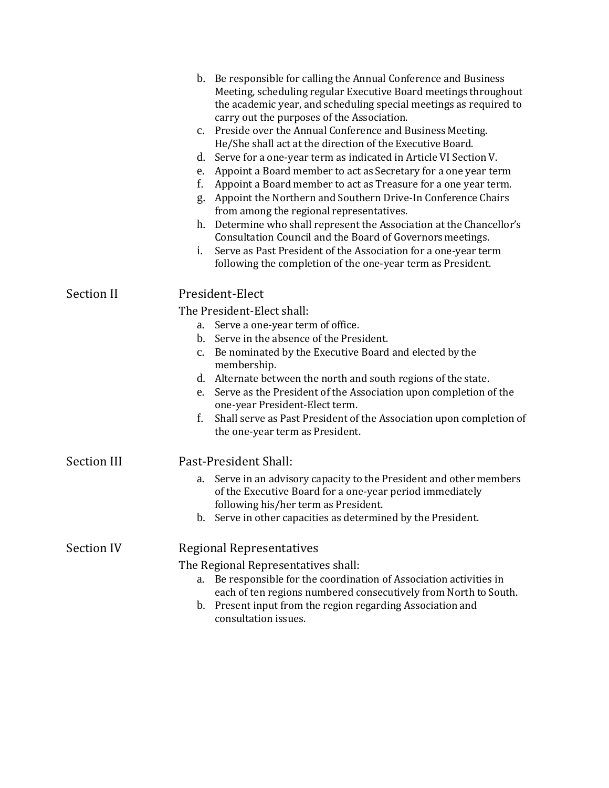|                    | b. Be responsible for calling the Annual Conference and Business<br>Meeting, scheduling regular Executive Board meetings throughout<br>the academic year, and scheduling special meetings as required to<br>carry out the purposes of the Association.<br>c. Preside over the Annual Conference and Business Meeting.<br>He/She shall act at the direction of the Executive Board.<br>Serve for a one-year term as indicated in Article VI Section V.<br>d.<br>Appoint a Board member to act as Secretary for a one year term<br>e.<br>f.<br>Appoint a Board member to act as Treasure for a one year term.<br>Appoint the Northern and Southern Drive-In Conference Chairs<br>g.<br>from among the regional representatives.<br>Determine who shall represent the Association at the Chancellor's<br>h.<br>Consultation Council and the Board of Governors meetings.<br>i.<br>Serve as Past President of the Association for a one-year term<br>following the completion of the one-year term as President. |
|--------------------|--------------------------------------------------------------------------------------------------------------------------------------------------------------------------------------------------------------------------------------------------------------------------------------------------------------------------------------------------------------------------------------------------------------------------------------------------------------------------------------------------------------------------------------------------------------------------------------------------------------------------------------------------------------------------------------------------------------------------------------------------------------------------------------------------------------------------------------------------------------------------------------------------------------------------------------------------------------------------------------------------------------|
| <b>Section II</b>  | President-Elect<br>The President-Elect shall:<br>Serve a one-year term of office.<br>а.<br>b. Serve in the absence of the President.<br>Be nominated by the Executive Board and elected by the<br>c.<br>membership.<br>d. Alternate between the north and south regions of the state.<br>Serve as the President of the Association upon completion of the<br>e.<br>one-year President-Elect term.<br>f.<br>Shall serve as Past President of the Association upon completion of<br>the one-year term as President.                                                                                                                                                                                                                                                                                                                                                                                                                                                                                            |
| <b>Section III</b> | Past-President Shall:<br>Serve in an advisory capacity to the President and other members<br>a.<br>of the Executive Board for a one-year period immediately<br>following his/her term as President.<br>b. Serve in other capacities as determined by the President.                                                                                                                                                                                                                                                                                                                                                                                                                                                                                                                                                                                                                                                                                                                                          |
| <b>Section IV</b>  | Regional Representatives<br>The Regional Representatives shall:<br>Be responsible for the coordination of Association activities in<br>a.<br>each of ten regions numbered consecutively from North to South.<br>Present input from the region regarding Association and<br>b.<br>consultation issues.                                                                                                                                                                                                                                                                                                                                                                                                                                                                                                                                                                                                                                                                                                        |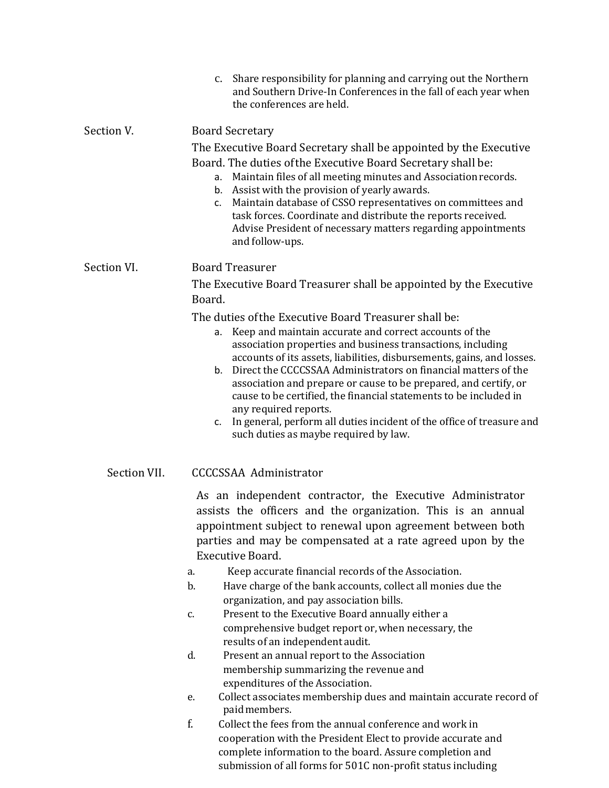|              | Share responsibility for planning and carrying out the Northern<br>$\mathbf{c}$ .<br>and Southern Drive-In Conferences in the fall of each year when<br>the conferences are held.                                                                                                                                                                                                                                                                                                                                                          |
|--------------|--------------------------------------------------------------------------------------------------------------------------------------------------------------------------------------------------------------------------------------------------------------------------------------------------------------------------------------------------------------------------------------------------------------------------------------------------------------------------------------------------------------------------------------------|
| Section V.   | <b>Board Secretary</b><br>The Executive Board Secretary shall be appointed by the Executive<br>Board. The duties of the Executive Board Secretary shall be:<br>Maintain files of all meeting minutes and Association records.<br>а.<br>Assist with the provision of yearly awards.<br>b.<br>Maintain database of CSSO representatives on committees and<br>c.<br>task forces. Coordinate and distribute the reports received.<br>Advise President of necessary matters regarding appointments<br>and follow-ups.                           |
| Section VI.  | <b>Board Treasurer</b><br>The Executive Board Treasurer shall be appointed by the Executive<br>Board.<br>The duties of the Executive Board Treasurer shall be:                                                                                                                                                                                                                                                                                                                                                                             |
|              | Keep and maintain accurate and correct accounts of the<br>а.<br>association properties and business transactions, including<br>accounts of its assets, liabilities, disbursements, gains, and losses.<br>Direct the CCCCSSAA Administrators on financial matters of the<br>b <sub>1</sub><br>association and prepare or cause to be prepared, and certify, or<br>cause to be certified, the financial statements to be included in<br>any required reports.<br>In general, perform all duties incident of the office of treasure and<br>c. |
| Section VII. | such duties as maybe required by law.<br><b>CCCCSSAA Administrator</b>                                                                                                                                                                                                                                                                                                                                                                                                                                                                     |
|              | As an independent contractor, the Executive Administrator<br>assists the officers and the organization. This is an annual<br>appointment subject to renewal upon agreement between both<br>parties and may be compensated at a rate agreed upon by the<br>Executive Board.<br>Keep accurate financial records of the Association.<br>a.<br>b.<br>Have charge of the bank accounts, collect all monies due the                                                                                                                              |
|              | organization, and pay association bills.<br>Present to the Executive Board annually either a<br>c.<br>comprehensive budget report or, when necessary, the<br>results of an independent audit.                                                                                                                                                                                                                                                                                                                                              |
|              | d.<br>Present an annual report to the Association<br>membership summarizing the revenue and<br>expenditures of the Association.                                                                                                                                                                                                                                                                                                                                                                                                            |
|              | Collect associates membership dues and maintain accurate record of<br>e.<br>paid members.                                                                                                                                                                                                                                                                                                                                                                                                                                                  |
|              | f.<br>Collect the fees from the annual conference and work in<br>cooperation with the President Elect to provide accurate and                                                                                                                                                                                                                                                                                                                                                                                                              |

complete information to the board. Assure completion and submission of all forms for 501C non-profit status including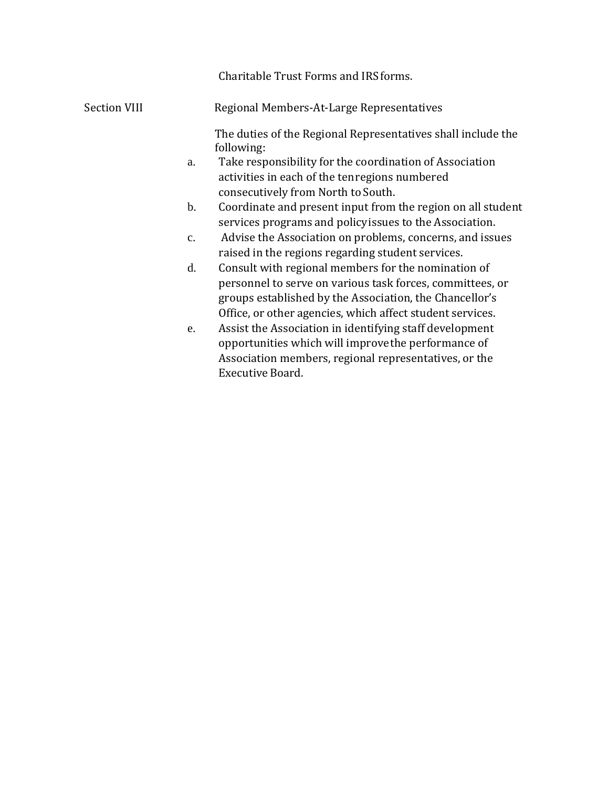|                     |               | Charitable Trust Forms and IRS forms.                                                                                                                                                                                                    |
|---------------------|---------------|------------------------------------------------------------------------------------------------------------------------------------------------------------------------------------------------------------------------------------------|
| <b>Section VIII</b> |               | Regional Members-At-Large Representatives                                                                                                                                                                                                |
|                     |               | The duties of the Regional Representatives shall include the<br>following:                                                                                                                                                               |
|                     | a.            | Take responsibility for the coordination of Association<br>activities in each of the tenregions numbered<br>consecutively from North to South.                                                                                           |
|                     | $\mathbf b$ . | Coordinate and present input from the region on all student<br>services programs and policy issues to the Association.                                                                                                                   |
|                     | $C_{\bullet}$ | Advise the Association on problems, concerns, and issues<br>raised in the regions regarding student services.                                                                                                                            |
|                     | d.            | Consult with regional members for the nomination of<br>personnel to serve on various task forces, committees, or<br>groups established by the Association, the Chancellor's<br>Office, or other agencies, which affect student services. |
|                     | e.            | Assist the Association in identifying staff development<br>opportunities which will improve the performance of<br>Association members, regional representatives, or the                                                                  |

Executive Board.